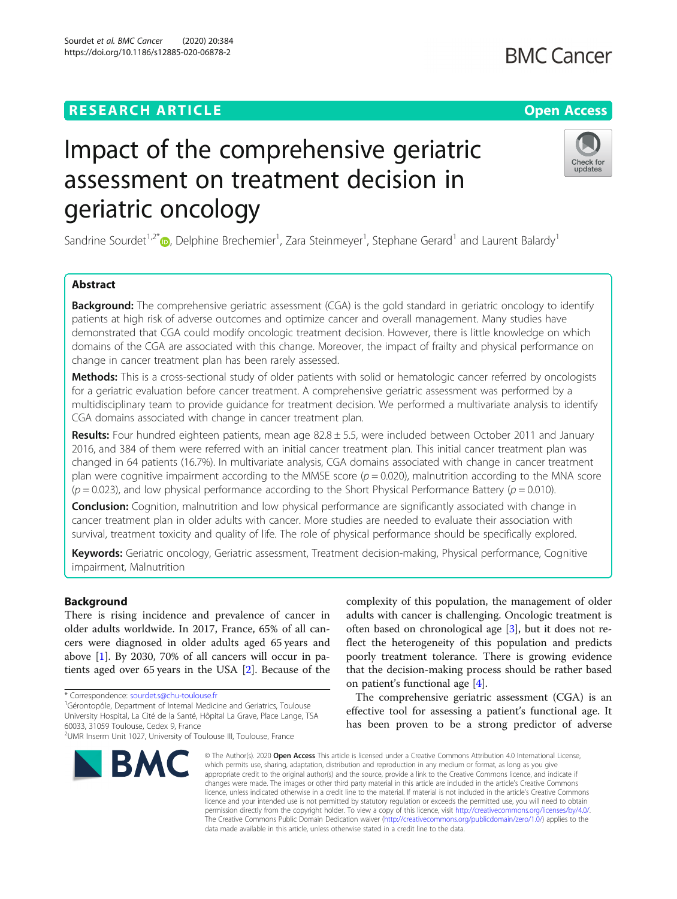# **RESEARCH ARTICLE Example 2014 12:30 The Contract of Contract ACCESS**

# Impact of the comprehensive geriatric assessment on treatment decision in geriatric oncology

Sandrine Sourdet<sup>1[,](http://orcid.org/0000-0001-8967-8915)2\*</sup> $\bullet$ , Delphine Brechemier<sup>1</sup>, Zara Steinmeyer<sup>1</sup>, Stephane Gerard<sup>1</sup> and Laurent Balardy<sup>1</sup>

# Abstract

**Background:** The comprehensive geriatric assessment (CGA) is the gold standard in geriatric oncology to identify patients at high risk of adverse outcomes and optimize cancer and overall management. Many studies have demonstrated that CGA could modify oncologic treatment decision. However, there is little knowledge on which domains of the CGA are associated with this change. Moreover, the impact of frailty and physical performance on change in cancer treatment plan has been rarely assessed.

Methods: This is a cross-sectional study of older patients with solid or hematologic cancer referred by oncologists for a geriatric evaluation before cancer treatment. A comprehensive geriatric assessment was performed by a multidisciplinary team to provide guidance for treatment decision. We performed a multivariate analysis to identify CGA domains associated with change in cancer treatment plan.

Results: Four hundred eighteen patients, mean age 82.8 ± 5.5, were included between October 2011 and January 2016, and 384 of them were referred with an initial cancer treatment plan. This initial cancer treatment plan was changed in 64 patients (16.7%). In multivariate analysis, CGA domains associated with change in cancer treatment plan were cognitive impairment according to the MMSE score  $(p = 0.020)$ , malnutrition according to the MNA score  $(p = 0.023)$ , and low physical performance according to the Short Physical Performance Battery ( $p = 0.010$ ).

**Conclusion:** Cognition, malnutrition and low physical performance are significantly associated with change in cancer treatment plan in older adults with cancer. More studies are needed to evaluate their association with survival, treatment toxicity and quality of life. The role of physical performance should be specifically explored.

Keywords: Geriatric oncology, Geriatric assessment, Treatment decision-making, Physical performance, Cognitive impairment, Malnutrition

# Background

There is rising incidence and prevalence of cancer in older adults worldwide. In 2017, France, 65% of all cancers were diagnosed in older adults aged 65 years and above [\[1](#page-7-0)]. By 2030, 70% of all cancers will occur in patients aged over 65 years in the USA [\[2](#page-7-0)]. Because of the

**RM** 

University Hospital, La Cité de la Santé, Hôpital La Grave, Place Lange, TSA

complexity of this population, the management of older adults with cancer is challenging. Oncologic treatment is often based on chronological age [\[3](#page-7-0)], but it does not reflect the heterogeneity of this population and predicts poorly treatment tolerance. There is growing evidence that the decision-making process should be rather based on patient's functional age [[4\]](#page-7-0).

The comprehensive geriatric assessment (CGA) is an effective tool for assessing a patient's functional age. It has been proven to be a strong predictor of adverse

© The Author(s), 2020 **Open Access** This article is licensed under a Creative Commons Attribution 4.0 International License, which permits use, sharing, adaptation, distribution and reproduction in any medium or format, as long as you give appropriate credit to the original author(s) and the source, provide a link to the Creative Commons licence, and indicate if changes were made. The images or other third party material in this article are included in the article's Creative Commons licence, unless indicated otherwise in a credit line to the material. If material is not included in the article's Creative Commons licence and your intended use is not permitted by statutory regulation or exceeds the permitted use, you will need to obtain permission directly from the copyright holder. To view a copy of this licence, visit [http://creativecommons.org/licenses/by/4.0/.](http://creativecommons.org/licenses/by/4.0/) The Creative Commons Public Domain Dedication waiver [\(http://creativecommons.org/publicdomain/zero/1.0/](http://creativecommons.org/publicdomain/zero/1.0/)) applies to the data made available in this article, unless otherwise stated in a credit line to the data.

\* Correspondence: [sourdet.s@chu-toulouse.fr](mailto:sourdet.s@chu-toulouse.fr)<br><sup>1</sup>Gérontopôle, Department of Internal Medicine and Geriatrics, Toulouse 60033, 31059 Toulouse, Cedex 9, France





<sup>&</sup>lt;sup>2</sup>UMR Inserm Unit 1027, University of Toulouse III, Toulouse, France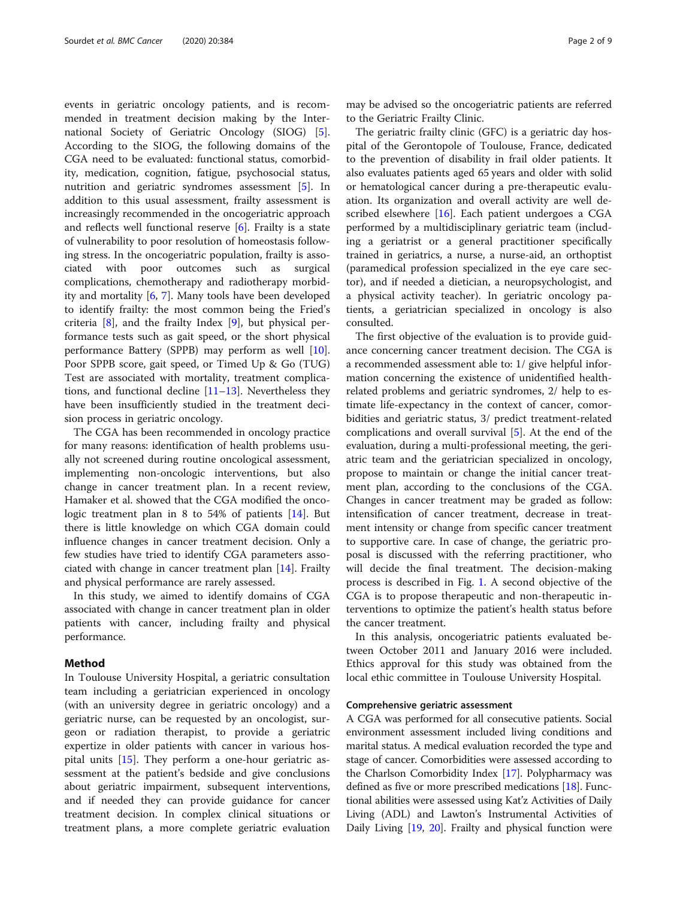events in geriatric oncology patients, and is recommended in treatment decision making by the International Society of Geriatric Oncology (SIOG) [\[5](#page-7-0)]. According to the SIOG, the following domains of the CGA need to be evaluated: functional status, comorbidity, medication, cognition, fatigue, psychosocial status, nutrition and geriatric syndromes assessment [\[5](#page-7-0)]. In addition to this usual assessment, frailty assessment is increasingly recommended in the oncogeriatric approach and reflects well functional reserve [[6](#page-7-0)]. Frailty is a state of vulnerability to poor resolution of homeostasis following stress. In the oncogeriatric population, frailty is associated with poor outcomes such as surgical complications, chemotherapy and radiotherapy morbidity and mortality [[6,](#page-7-0) [7](#page-7-0)]. Many tools have been developed to identify frailty: the most common being the Fried's criteria  $[8]$  $[8]$ , and the frailty Index  $[9]$  $[9]$ , but physical performance tests such as gait speed, or the short physical performance Battery (SPPB) may perform as well [\[10](#page-7-0)]. Poor SPPB score, gait speed, or Timed Up & Go (TUG) Test are associated with mortality, treatment complications, and functional decline [[11](#page-7-0)–[13](#page-8-0)]. Nevertheless they have been insufficiently studied in the treatment decision process in geriatric oncology.

The CGA has been recommended in oncology practice for many reasons: identification of health problems usually not screened during routine oncological assessment, implementing non-oncologic interventions, but also change in cancer treatment plan. In a recent review, Hamaker et al. showed that the CGA modified the oncologic treatment plan in 8 to 54% of patients [\[14](#page-8-0)]. But there is little knowledge on which CGA domain could influence changes in cancer treatment decision. Only a few studies have tried to identify CGA parameters associated with change in cancer treatment plan [\[14](#page-8-0)]. Frailty and physical performance are rarely assessed.

In this study, we aimed to identify domains of CGA associated with change in cancer treatment plan in older patients with cancer, including frailty and physical performance.

# Method

In Toulouse University Hospital, a geriatric consultation team including a geriatrician experienced in oncology (with an university degree in geriatric oncology) and a geriatric nurse, can be requested by an oncologist, surgeon or radiation therapist, to provide a geriatric expertize in older patients with cancer in various hospital units [[15\]](#page-8-0). They perform a one-hour geriatric assessment at the patient's bedside and give conclusions about geriatric impairment, subsequent interventions, and if needed they can provide guidance for cancer treatment decision. In complex clinical situations or treatment plans, a more complete geriatric evaluation

may be advised so the oncogeriatric patients are referred to the Geriatric Frailty Clinic.

The geriatric frailty clinic (GFC) is a geriatric day hospital of the Gerontopole of Toulouse, France, dedicated to the prevention of disability in frail older patients. It also evaluates patients aged 65 years and older with solid or hematological cancer during a pre-therapeutic evaluation. Its organization and overall activity are well de-scribed elsewhere [[16\]](#page-8-0). Each patient undergoes a CGA performed by a multidisciplinary geriatric team (including a geriatrist or a general practitioner specifically trained in geriatrics, a nurse, a nurse-aid, an orthoptist (paramedical profession specialized in the eye care sector), and if needed a dietician, a neuropsychologist, and a physical activity teacher). In geriatric oncology patients, a geriatrician specialized in oncology is also consulted.

The first objective of the evaluation is to provide guidance concerning cancer treatment decision. The CGA is a recommended assessment able to: 1/ give helpful information concerning the existence of unidentified healthrelated problems and geriatric syndromes, 2/ help to estimate life-expectancy in the context of cancer, comorbidities and geriatric status, 3/ predict treatment-related complications and overall survival [\[5](#page-7-0)]. At the end of the evaluation, during a multi-professional meeting, the geriatric team and the geriatrician specialized in oncology, propose to maintain or change the initial cancer treatment plan, according to the conclusions of the CGA. Changes in cancer treatment may be graded as follow: intensification of cancer treatment, decrease in treatment intensity or change from specific cancer treatment to supportive care. In case of change, the geriatric proposal is discussed with the referring practitioner, who will decide the final treatment. The decision-making process is described in Fig. [1.](#page-2-0) A second objective of the CGA is to propose therapeutic and non-therapeutic interventions to optimize the patient's health status before the cancer treatment.

In this analysis, oncogeriatric patients evaluated between October 2011 and January 2016 were included. Ethics approval for this study was obtained from the local ethic committee in Toulouse University Hospital.

## Comprehensive geriatric assessment

A CGA was performed for all consecutive patients. Social environment assessment included living conditions and marital status. A medical evaluation recorded the type and stage of cancer. Comorbidities were assessed according to the Charlson Comorbidity Index [\[17\]](#page-8-0). Polypharmacy was defined as five or more prescribed medications [[18](#page-8-0)]. Functional abilities were assessed using Kat'z Activities of Daily Living (ADL) and Lawton's Instrumental Activities of Daily Living [[19](#page-8-0), [20](#page-8-0)]. Frailty and physical function were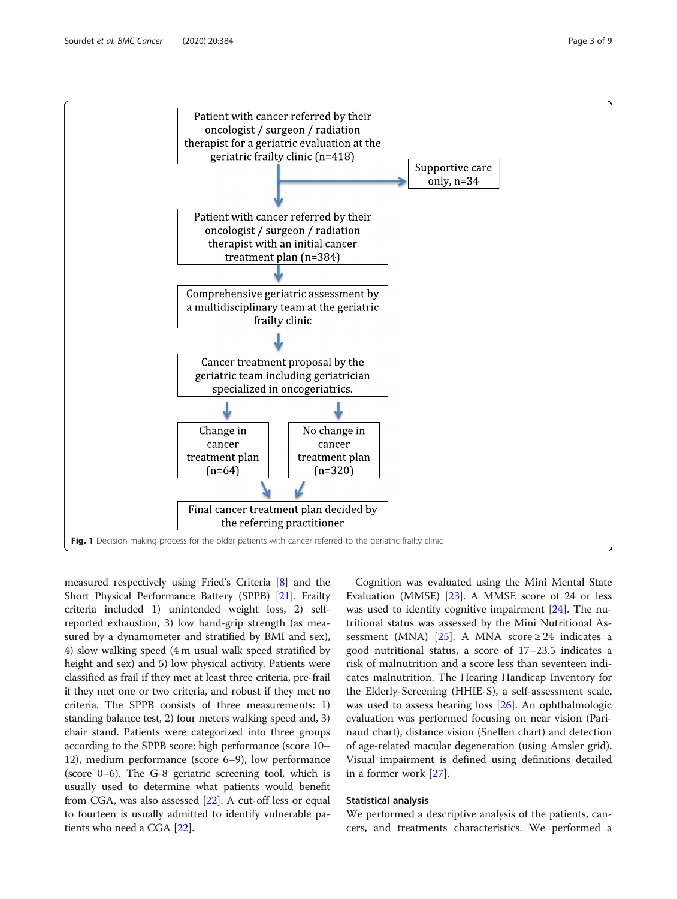<span id="page-2-0"></span>

measured respectively using Fried's Criteria [[8\]](#page-7-0) and the Short Physical Performance Battery (SPPB) [[21](#page-8-0)]. Frailty criteria included 1) unintended weight loss, 2) selfreported exhaustion, 3) low hand-grip strength (as measured by a dynamometer and stratified by BMI and sex), 4) slow walking speed (4 m usual walk speed stratified by height and sex) and 5) low physical activity. Patients were classified as frail if they met at least three criteria, pre-frail if they met one or two criteria, and robust if they met no criteria. The SPPB consists of three measurements: 1) standing balance test, 2) four meters walking speed and, 3) chair stand. Patients were categorized into three groups according to the SPPB score: high performance (score 10– 12), medium performance (score 6–9), low performance (score 0–6). The G-8 geriatric screening tool, which is usually used to determine what patients would benefit from CGA, was also assessed [\[22](#page-8-0)]. A cut-off less or equal to fourteen is usually admitted to identify vulnerable patients who need a CGA [\[22\]](#page-8-0).

Cognition was evaluated using the Mini Mental State Evaluation (MMSE) [[23\]](#page-8-0). A MMSE score of 24 or less was used to identify cognitive impairment [[24\]](#page-8-0). The nutritional status was assessed by the Mini Nutritional As-sessment (MNA) [\[25](#page-8-0)]. A MNA score  $\geq$  24 indicates a good nutritional status, a score of 17–23.5 indicates a risk of malnutrition and a score less than seventeen indicates malnutrition. The Hearing Handicap Inventory for the Elderly-Screening (HHIE-S), a self-assessment scale, was used to assess hearing loss [\[26](#page-8-0)]. An ophthalmologic evaluation was performed focusing on near vision (Parinaud chart), distance vision (Snellen chart) and detection of age-related macular degeneration (using Amsler grid). Visual impairment is defined using definitions detailed in a former work [[27](#page-8-0)].

## Statistical analysis

We performed a descriptive analysis of the patients, cancers, and treatments characteristics. We performed a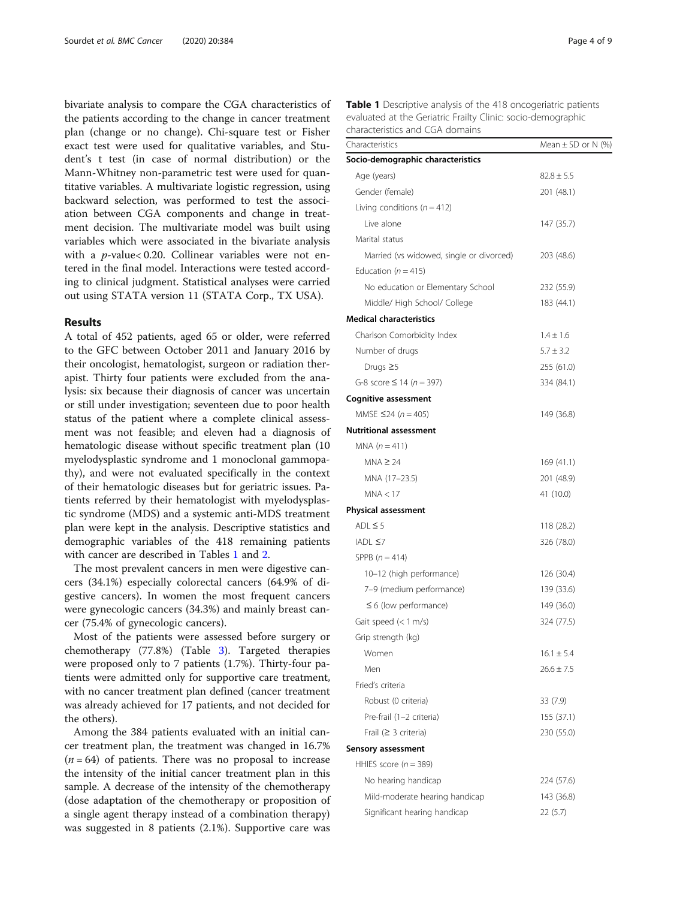bivariate analysis to compare the CGA characteristics of the patients according to the change in cancer treatment plan (change or no change). Chi-square test or Fisher exact test were used for qualitative variables, and Student's t test (in case of normal distribution) or the Mann-Whitney non-parametric test were used for quantitative variables. A multivariate logistic regression, using backward selection, was performed to test the association between CGA components and change in treatment decision. The multivariate model was built using variables which were associated in the bivariate analysis with a *p*-value< 0.20. Collinear variables were not entered in the final model. Interactions were tested according to clinical judgment. Statistical analyses were carried out using STATA version 11 (STATA Corp., TX USA).

# Results

A total of 452 patients, aged 65 or older, were referred to the GFC between October 2011 and January 2016 by their oncologist, hematologist, surgeon or radiation therapist. Thirty four patients were excluded from the analysis: six because their diagnosis of cancer was uncertain or still under investigation; seventeen due to poor health status of the patient where a complete clinical assessment was not feasible; and eleven had a diagnosis of hematologic disease without specific treatment plan (10 myelodysplastic syndrome and 1 monoclonal gammopathy), and were not evaluated specifically in the context of their hematologic diseases but for geriatric issues. Patients referred by their hematologist with myelodysplastic syndrome (MDS) and a systemic anti-MDS treatment plan were kept in the analysis. Descriptive statistics and demographic variables of the 418 remaining patients with cancer are described in Tables 1 and [2.](#page-4-0)

The most prevalent cancers in men were digestive cancers (34.1%) especially colorectal cancers (64.9% of digestive cancers). In women the most frequent cancers were gynecologic cancers (34.3%) and mainly breast cancer (75.4% of gynecologic cancers).

Most of the patients were assessed before surgery or chemotherapy (77.8%) (Table [3](#page-5-0)). Targeted therapies were proposed only to 7 patients (1.7%). Thirty-four patients were admitted only for supportive care treatment, with no cancer treatment plan defined (cancer treatment was already achieved for 17 patients, and not decided for the others).

Among the 384 patients evaluated with an initial cancer treatment plan, the treatment was changed in 16.7%  $(n = 64)$  of patients. There was no proposal to increase the intensity of the initial cancer treatment plan in this sample. A decrease of the intensity of the chemotherapy (dose adaptation of the chemotherapy or proposition of a single agent therapy instead of a combination therapy) was suggested in 8 patients (2.1%). Supportive care was

| Characteristics                          | Mean $\pm$ SD or N (%) |
|------------------------------------------|------------------------|
| Socio-demographic characteristics        |                        |
| Age (years)                              | $82.8 \pm 5.5$         |
| Gender (female)                          | 201 (48.1)             |
| Living conditions ( $n = 412$ )          |                        |
| Live alone                               | 147 (35.7)             |
| Marital status                           |                        |
| Married (vs widowed, single or divorced) | 203 (48.6)             |
| Education ( $n = 415$ )                  |                        |
| No education or Elementary School        | 232 (55.9)             |
| Middle/ High School/ College             | 183 (44.1)             |
| <b>Medical characteristics</b>           |                        |
| Charlson Comorbidity Index               | $1.4 \pm 1.6$          |
| Number of drugs                          | $5.7 \pm 3.2$          |
| Drugs $\geq$ 5                           | 255 (61.0)             |
| G-8 score $\leq$ 14 (n = 397)            | 334 (84.1)             |
| <b>Cognitive assessment</b>              |                        |
| MMSE ≤24 ( <i>n</i> = 405)               | 149 (36.8)             |
| <b>Nutritional assessment</b>            |                        |
| MNA $(n = 411)$                          |                        |
| $MNA \geq 24$                            | 169(41.1)              |
| MNA (17-23.5)                            | 201 (48.9)             |
| MNA < 17                                 | 41 (10.0)              |
| <b>Physical assessment</b>               |                        |
| ADL $\leq$ 5                             | 118 (28.2)             |
| $IADL \leq 7$                            | 326 (78.0)             |
| SPPB $(n = 414)$                         |                        |
| 10-12 (high performance)                 | 126 (30.4)             |
| 7-9 (medium performance)                 | 139 (33.6)             |
| $\leq$ 6 (low performance)               | 149 (36.0)             |
| Gait speed $(< 1$ m/s)                   | 324 (77.5)             |
| Grip strength (kg)                       |                        |
| Women                                    | $16.1 \pm 5.4$         |
| Men                                      | $26.6 \pm 7.5$         |
| Fried's criteria                         |                        |
| Robust (0 criteria)                      | 33 (7.9)               |
| Pre-frail (1-2 criteria)                 | 155 (37.1)             |
| Frail $(≥ 3$ criteria)                   | 230 (55.0)             |
| Sensory assessment                       |                        |
| HHIES score $(n = 389)$                  |                        |
| No hearing handicap                      | 224 (57.6)             |
| Mild-moderate hearing handicap           | 143 (36.8)             |
| Significant hearing handicap             | 22(5.7)                |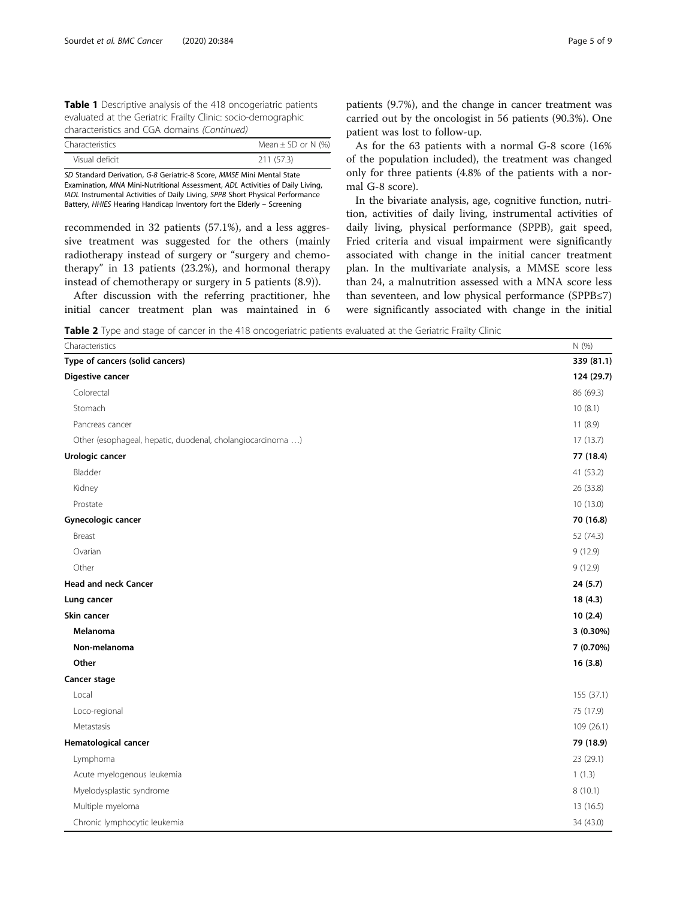<span id="page-4-0"></span>Table 1 Descriptive analysis of the 418 oncogeriatric patients evaluated at the Geriatric Frailty Clinic: socio-demographic characteristics and CGA domains (Continued)

| Characteristics | Mean $\pm$ SD or N (%) |
|-----------------|------------------------|
| Visual deficit  | 211(57.3)              |

SD Standard Derivation, G-8 Geriatric-8 Score, MMSE Mini Mental State Examination, MNA Mini-Nutritional Assessment, ADL Activities of Daily Living, IADL Instrumental Activities of Daily Living, SPPB Short Physical Performance Battery, HHIES Hearing Handicap Inventory fort the Elderly – Screening

recommended in 32 patients (57.1%), and a less aggressive treatment was suggested for the others (mainly radiotherapy instead of surgery or "surgery and chemotherapy" in 13 patients (23.2%), and hormonal therapy instead of chemotherapy or surgery in 5 patients (8.9)).

After discussion with the referring practitioner, hhe initial cancer treatment plan was maintained in 6 patients (9.7%), and the change in cancer treatment was carried out by the oncologist in 56 patients (90.3%). One patient was lost to follow-up.

As for the 63 patients with a normal G-8 score (16% of the population included), the treatment was changed only for three patients (4.8% of the patients with a normal G-8 score).

In the bivariate analysis, age, cognitive function, nutrition, activities of daily living, instrumental activities of daily living, physical performance (SPPB), gait speed, Fried criteria and visual impairment were significantly associated with change in the initial cancer treatment plan. In the multivariate analysis, a MMSE score less than 24, a malnutrition assessed with a MNA score less than seventeen, and low physical performance (SPPB≤7) were significantly associated with change in the initial

Table 2 Type and stage of cancer in the 418 oncogeriatric patients evaluated at the Geriatric Frailty Clinic

| Characteristics                                            | N(%)       |
|------------------------------------------------------------|------------|
| Type of cancers (solid cancers)                            | 339 (81.1) |
| <b>Digestive cancer</b>                                    | 124 (29.7) |
| Colorectal                                                 | 86 (69.3)  |
| Stomach                                                    | 10(8.1)    |
| Pancreas cancer                                            | 11(8.9)    |
| Other (esophageal, hepatic, duodenal, cholangiocarcinoma ) | 17(13.7)   |
| Urologic cancer                                            | 77 (18.4)  |
| Bladder                                                    | 41 (53.2)  |
| Kidney                                                     | 26 (33.8)  |
| Prostate                                                   | 10(13.0)   |
| Gynecologic cancer                                         | 70 (16.8)  |
| Breast                                                     | 52 (74.3)  |
| Ovarian                                                    | 9(12.9)    |
| Other                                                      | 9(12.9)    |
| <b>Head and neck Cancer</b>                                | 24 (5.7)   |
| Lung cancer                                                | 18(4.3)    |
| Skin cancer                                                | 10(2.4)    |
| Melanoma                                                   | 3 (0.30%)  |
| Non-melanoma                                               | 7 (0.70%)  |
| Other                                                      | 16(3.8)    |
| Cancer stage                                               |            |
| Local                                                      | 155 (37.1) |
| Loco-regional                                              | 75 (17.9)  |
| Metastasis                                                 | 109 (26.1) |
| Hematological cancer                                       | 79 (18.9)  |
| Lymphoma                                                   | 23 (29.1)  |
| Acute myelogenous leukemia                                 | 1(1.3)     |
| Myelodysplastic syndrome                                   | 8(10.1)    |
| Multiple myeloma                                           | 13(16.5)   |
| Chronic lymphocytic leukemia                               | 34 (43.0)  |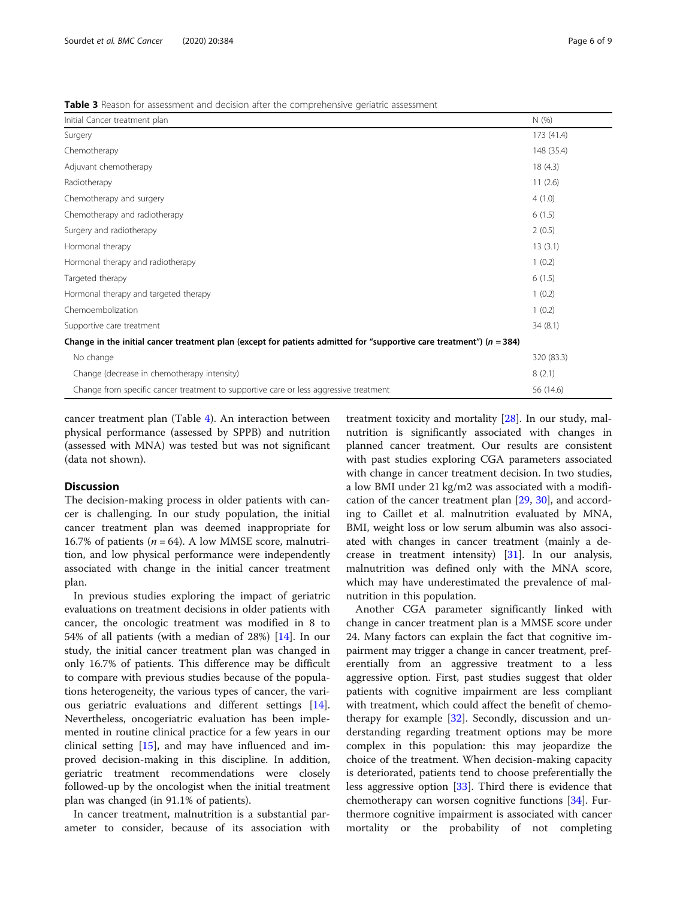<span id="page-5-0"></span>Table 3 Reason for assessment and decision after the comprehensive geriatric assessment

| Initial Cancer treatment plan                                                                                            | N(% )      |
|--------------------------------------------------------------------------------------------------------------------------|------------|
| Surgery                                                                                                                  | 173 (41.4) |
| Chemotherapy                                                                                                             | 148 (35.4) |
| Adjuvant chemotherapy                                                                                                    | 18(4.3)    |
| Radiotherapy                                                                                                             | 11(2.6)    |
| Chemotherapy and surgery                                                                                                 | 4(1.0)     |
| Chemotherapy and radiotherapy                                                                                            | 6(1.5)     |
| Surgery and radiotherapy                                                                                                 | 2(0.5)     |
| Hormonal therapy                                                                                                         | 13(3.1)    |
| Hormonal therapy and radiotherapy                                                                                        | 1(0.2)     |
| Targeted therapy                                                                                                         | 6(1.5)     |
| Hormonal therapy and targeted therapy                                                                                    | 1(0.2)     |
| Chemoembolization                                                                                                        | 1(0.2)     |
| Supportive care treatment                                                                                                | 34(8.1)    |
| Change in the initial cancer treatment plan (except for patients admitted for "supportive care treatment") ( $n = 384$ ) |            |
| No change                                                                                                                | 320 (83.3) |
| Change (decrease in chemotherapy intensity)                                                                              | 8(2.1)     |
| Change from specific cancer treatment to supportive care or less aggressive treatment                                    | 56 (14.6)  |

cancer treatment plan (Table [4](#page-6-0)). An interaction between physical performance (assessed by SPPB) and nutrition (assessed with MNA) was tested but was not significant (data not shown).

# Discussion

The decision-making process in older patients with cancer is challenging. In our study population, the initial cancer treatment plan was deemed inappropriate for 16.7% of patients ( $n = 64$ ). A low MMSE score, malnutrition, and low physical performance were independently associated with change in the initial cancer treatment plan.

In previous studies exploring the impact of geriatric evaluations on treatment decisions in older patients with cancer, the oncologic treatment was modified in 8 to 54% of all patients (with a median of 28%) [[14\]](#page-8-0). In our study, the initial cancer treatment plan was changed in only 16.7% of patients. This difference may be difficult to compare with previous studies because of the populations heterogeneity, the various types of cancer, the various geriatric evaluations and different settings [\[14](#page-8-0)]. Nevertheless, oncogeriatric evaluation has been implemented in routine clinical practice for a few years in our clinical setting [\[15\]](#page-8-0), and may have influenced and improved decision-making in this discipline. In addition, geriatric treatment recommendations were closely followed-up by the oncologist when the initial treatment plan was changed (in 91.1% of patients).

In cancer treatment, malnutrition is a substantial parameter to consider, because of its association with

treatment toxicity and mortality [\[28\]](#page-8-0). In our study, malnutrition is significantly associated with changes in planned cancer treatment. Our results are consistent with past studies exploring CGA parameters associated with change in cancer treatment decision. In two studies, a low BMI under 21 kg/m2 was associated with a modification of the cancer treatment plan [\[29](#page-8-0), [30](#page-8-0)], and according to Caillet et al. malnutrition evaluated by MNA, BMI, weight loss or low serum albumin was also associated with changes in cancer treatment (mainly a decrease in treatment intensity)  $[31]$  $[31]$  $[31]$ . In our analysis, malnutrition was defined only with the MNA score, which may have underestimated the prevalence of malnutrition in this population.

Another CGA parameter significantly linked with change in cancer treatment plan is a MMSE score under 24. Many factors can explain the fact that cognitive impairment may trigger a change in cancer treatment, preferentially from an aggressive treatment to a less aggressive option. First, past studies suggest that older patients with cognitive impairment are less compliant with treatment, which could affect the benefit of chemotherapy for example  $[32]$  $[32]$  $[32]$ . Secondly, discussion and understanding regarding treatment options may be more complex in this population: this may jeopardize the choice of the treatment. When decision-making capacity is deteriorated, patients tend to choose preferentially the less aggressive option [[33\]](#page-8-0). Third there is evidence that chemotherapy can worsen cognitive functions [\[34\]](#page-8-0). Furthermore cognitive impairment is associated with cancer mortality or the probability of not completing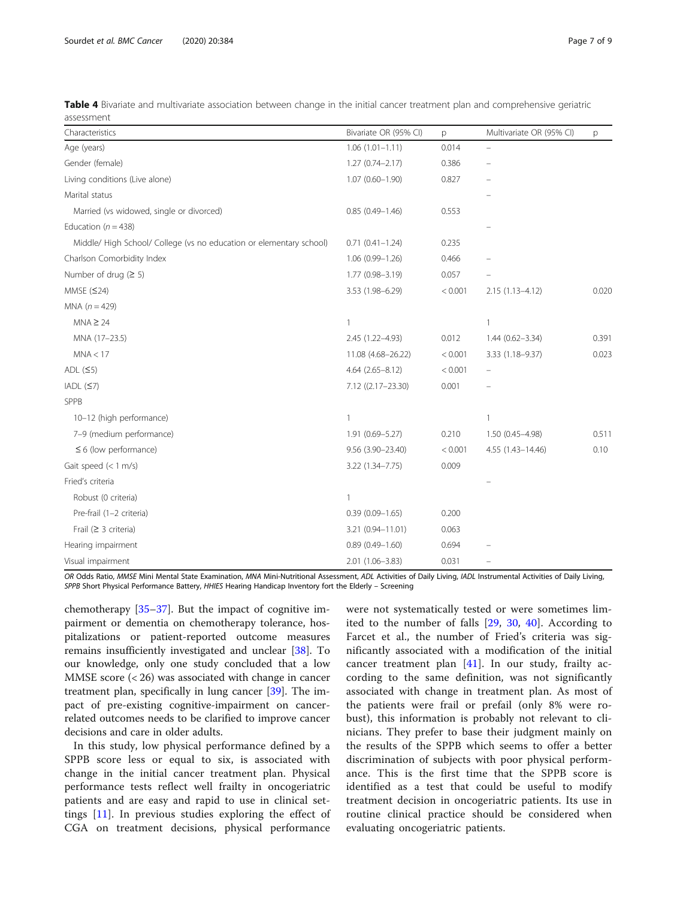<span id="page-6-0"></span>Table 4 Bivariate and multivariate association between change in the initial cancer treatment plan and comprehensive geriatric assessment

| Characteristics                                                     | Bivariate OR (95% CI)   | p       | Multivariate OR (95% CI) | p     |
|---------------------------------------------------------------------|-------------------------|---------|--------------------------|-------|
| Age (years)                                                         | $1.06(1.01 - 1.11)$     | 0.014   |                          |       |
| Gender (female)                                                     | $1.27(0.74 - 2.17)$     | 0.386   |                          |       |
| Living conditions (Live alone)                                      | $1.07(0.60 - 1.90)$     | 0.827   |                          |       |
| Marital status                                                      |                         |         |                          |       |
| Married (vs widowed, single or divorced)                            | $0.85(0.49 - 1.46)$     | 0.553   |                          |       |
| Education ( $n = 438$ )                                             |                         |         |                          |       |
| Middle/ High School/ College (vs no education or elementary school) | $0.71(0.41 - 1.24)$     | 0.235   |                          |       |
| Charlson Comorbidity Index                                          | $1.06(0.99 - 1.26)$     | 0.466   |                          |       |
| Number of drug $(2 5)$                                              | 1.77 (0.98-3.19)        | 0.057   |                          |       |
| MMSE $(≤24)$                                                        | 3.53 (1.98-6.29)        | < 0.001 | $2.15(1.13 - 4.12)$      | 0.020 |
| MNA $(n = 429)$                                                     |                         |         |                          |       |
| $MNA \geq 24$                                                       | 1                       |         | 1                        |       |
| MNA (17-23.5)                                                       | 2.45 (1.22-4.93)        | 0.012   | $1.44(0.62 - 3.34)$      | 0.391 |
| MNA < 17                                                            | 11.08 (4.68-26.22)      | < 0.001 | 3.33 (1.18-9.37)         | 0.023 |
| ADL $(5)$                                                           | $4.64(2.65 - 8.12)$     | < 0.001 |                          |       |
| IADL (57)                                                           | $7.12 ((2.17 - 23.30))$ | 0.001   |                          |       |
| SPPB                                                                |                         |         |                          |       |
| 10-12 (high performance)                                            | $\mathbf{1}$            |         |                          |       |
| 7-9 (medium performance)                                            | 1.91 (0.69-5.27)        | 0.210   | 1.50 (0.45-4.98)         | 0.511 |
| $\leq$ 6 (low performance)                                          | 9.56 (3.90-23.40)       | < 0.001 | 4.55 (1.43-14.46)        | 0.10  |
| Gait speed $(< 1$ m/s)                                              | 3.22 (1.34-7.75)        | 0.009   |                          |       |
| Fried's criteria                                                    |                         |         |                          |       |
| Robust (0 criteria)                                                 | 1                       |         |                          |       |
| Pre-frail (1-2 criteria)                                            | $0.39(0.09 - 1.65)$     | 0.200   |                          |       |
| Frail $(≥ 3$ criteria)                                              | 3.21 (0.94-11.01)       | 0.063   |                          |       |
| Hearing impairment                                                  | $0.89(0.49 - 1.60)$     | 0.694   |                          |       |
| Visual impairment                                                   | 2.01 (1.06-3.83)        | 0.031   |                          |       |

OR Odds Ratio, MMSE Mini Mental State Examination, MNA Mini-Nutritional Assessment, ADL Activities of Daily Living, IADL Instrumental Activities of Daily Living, SPPB Short Physical Performance Battery, HHIES Hearing Handicap Inventory fort the Elderly - Screening

chemotherapy [[35](#page-8-0)–[37](#page-8-0)]. But the impact of cognitive impairment or dementia on chemotherapy tolerance, hospitalizations or patient-reported outcome measures remains insufficiently investigated and unclear [\[38](#page-8-0)]. To our knowledge, only one study concluded that a low MMSE score (< 26) was associated with change in cancer treatment plan, specifically in lung cancer [[39\]](#page-8-0). The impact of pre-existing cognitive-impairment on cancerrelated outcomes needs to be clarified to improve cancer decisions and care in older adults.

In this study, low physical performance defined by a SPPB score less or equal to six, is associated with change in the initial cancer treatment plan. Physical performance tests reflect well frailty in oncogeriatric patients and are easy and rapid to use in clinical settings [[11\]](#page-7-0). In previous studies exploring the effect of CGA on treatment decisions, physical performance

were not systematically tested or were sometimes limited to the number of falls [\[29](#page-8-0), [30,](#page-8-0) [40\]](#page-8-0). According to Farcet et al., the number of Fried's criteria was significantly associated with a modification of the initial cancer treatment plan [[41\]](#page-8-0). In our study, frailty according to the same definition, was not significantly associated with change in treatment plan. As most of the patients were frail or prefail (only 8% were robust), this information is probably not relevant to clinicians. They prefer to base their judgment mainly on the results of the SPPB which seems to offer a better discrimination of subjects with poor physical performance. This is the first time that the SPPB score is identified as a test that could be useful to modify treatment decision in oncogeriatric patients. Its use in routine clinical practice should be considered when evaluating oncogeriatric patients.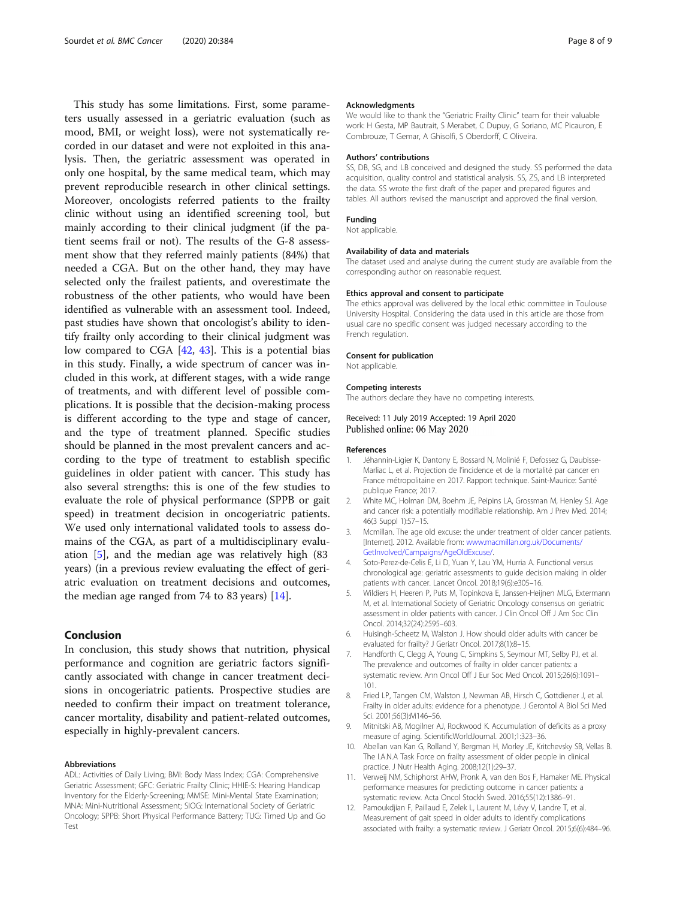<span id="page-7-0"></span>This study has some limitations. First, some parameters usually assessed in a geriatric evaluation (such as mood, BMI, or weight loss), were not systematically recorded in our dataset and were not exploited in this analysis. Then, the geriatric assessment was operated in only one hospital, by the same medical team, which may prevent reproducible research in other clinical settings. Moreover, oncologists referred patients to the frailty clinic without using an identified screening tool, but mainly according to their clinical judgment (if the patient seems frail or not). The results of the G-8 assessment show that they referred mainly patients (84%) that needed a CGA. But on the other hand, they may have selected only the frailest patients, and overestimate the robustness of the other patients, who would have been identified as vulnerable with an assessment tool. Indeed, past studies have shown that oncologist's ability to identify frailty only according to their clinical judgment was low compared to CGA [[42](#page-8-0), [43](#page-8-0)]. This is a potential bias in this study. Finally, a wide spectrum of cancer was included in this work, at different stages, with a wide range of treatments, and with different level of possible complications. It is possible that the decision-making process is different according to the type and stage of cancer, and the type of treatment planned. Specific studies should be planned in the most prevalent cancers and according to the type of treatment to establish specific guidelines in older patient with cancer. This study has also several strengths: this is one of the few studies to evaluate the role of physical performance (SPPB or gait speed) in treatment decision in oncogeriatric patients. We used only international validated tools to assess domains of the CGA, as part of a multidisciplinary evaluation [5], and the median age was relatively high (83 years) (in a previous review evaluating the effect of geriatric evaluation on treatment decisions and outcomes, the median age ranged from 74 to 83 years)  $[14]$  $[14]$ .

# Conclusion

In conclusion, this study shows that nutrition, physical performance and cognition are geriatric factors significantly associated with change in cancer treatment decisions in oncogeriatric patients. Prospective studies are needed to confirm their impact on treatment tolerance, cancer mortality, disability and patient-related outcomes, especially in highly-prevalent cancers.

#### Abbreviations

ADL: Activities of Daily Living; BMI: Body Mass Index; CGA: Comprehensive Geriatric Assessment; GFC: Geriatric Frailty Clinic; HHIE-S: Hearing Handicap Inventory for the Elderly-Screening; MMSE: Mini-Mental State Examination; MNA: Mini-Nutritional Assessment; SIOG: International Society of Geriatric Oncology; SPPB: Short Physical Performance Battery; TUG: Timed Up and Go Test

#### Acknowledgments

We would like to thank the "Geriatric Frailty Clinic" team for their valuable work: H Gesta, MP Bautrait, S Merabet, C Dupuy, G Soriano, MC Picauron, E Combrouze, T Gemar, A Ghisolfi, S Oberdorff, C Oliveira.

#### Authors' contributions

SS, DB, SG, and LB conceived and designed the study. SS performed the data acquisition, quality control and statistical analysis. SS, ZS, and LB interpreted the data. SS wrote the first draft of the paper and prepared figures and tables. All authors revised the manuscript and approved the final version.

### Funding

Not applicable.

#### Availability of data and materials

The dataset used and analyse during the current study are available from the corresponding author on reasonable request.

#### Ethics approval and consent to participate

The ethics approval was delivered by the local ethic committee in Toulouse University Hospital. Considering the data used in this article are those from usual care no specific consent was judged necessary according to the French regulation.

#### Consent for publication

Not applicable.

#### Competing interests

The authors declare they have no competing interests.

Received: 11 July 2019 Accepted: 19 April 2020 Published online: 06 May 2020

#### References

- 1. Jéhannin-Ligier K, Dantony E, Bossard N, Molinié F, Defossez G, Daubisse-Marliac L, et al. Projection de l'incidence et de la mortalité par cancer en France métropolitaine en 2017. Rapport technique. Saint-Maurice: Santé publique France; 2017.
- 2. White MC, Holman DM, Boehm JE, Peipins LA, Grossman M, Henley SJ. Age and cancer risk: a potentially modifiable relationship. Am J Prev Med. 2014; 46(3 Suppl 1):S7–15.
- 3. Mcmillan. The age old excuse: the under treatment of older cancer patients. [Internet]. 2012. Available from: [www.macmillan.org.uk/Documents/](http://www.macmillan.org.uk/Documents/GetInvolved/Campaigns/AgeOldExcuse/) [GetInvolved/Campaigns/AgeOldExcuse/.](http://www.macmillan.org.uk/Documents/GetInvolved/Campaigns/AgeOldExcuse/)
- 4. Soto-Perez-de-Celis E, Li D, Yuan Y, Lau YM, Hurria A. Functional versus chronological age: geriatric assessments to guide decision making in older patients with cancer. Lancet Oncol. 2018;19(6):e305–16.
- 5. Wildiers H, Heeren P, Puts M, Topinkova E, Janssen-Heijnen MLG, Extermann M, et al. International Society of Geriatric Oncology consensus on geriatric assessment in older patients with cancer. J Clin Oncol Off J Am Soc Clin Oncol. 2014;32(24):2595–603.
- 6. Huisingh-Scheetz M, Walston J. How should older adults with cancer be evaluated for frailty? J Geriatr Oncol. 2017;8(1):8–15.
- 7. Handforth C, Clegg A, Young C, Simpkins S, Seymour MT, Selby PJ, et al. The prevalence and outcomes of frailty in older cancer patients: a systematic review. Ann Oncol Off J Eur Soc Med Oncol. 2015;26(6):1091– 101.
- 8. Fried LP, Tangen CM, Walston J, Newman AB, Hirsch C, Gottdiener J, et al. Frailty in older adults: evidence for a phenotype. J Gerontol A Biol Sci Med Sci. 2001;56(3):M146–56.
- 9. Mitnitski AB, Mogilner AJ, Rockwood K. Accumulation of deficits as a proxy measure of aging. ScientificWorldJournal. 2001;1:323–36.
- 10. Abellan van Kan G, Rolland Y, Bergman H, Morley JE, Kritchevsky SB, Vellas B. The I.A.N.A Task Force on frailty assessment of older people in clinical practice. J Nutr Health Aging. 2008;12(1):29–37.
- 11. Verweij NM, Schiphorst AHW, Pronk A, van den Bos F, Hamaker ME. Physical performance measures for predicting outcome in cancer patients: a systematic review. Acta Oncol Stockh Swed. 2016;55(12):1386–91.
- 12. Pamoukdjian F, Paillaud E, Zelek L, Laurent M, Lévy V, Landre T, et al. Measurement of gait speed in older adults to identify complications associated with frailty: a systematic review. J Geriatr Oncol. 2015;6(6):484–96.